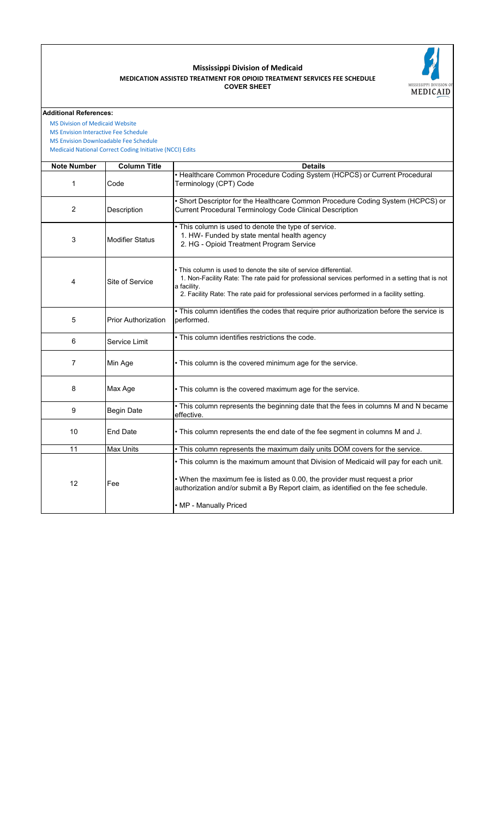## **COVER SHEET MEDICATION ASSISTED TREATMENT FOR OPIOID TREATMENT SERVICES FEE SCHEDULE Mississippi Division of Medicaid**



## **Additional References:**

 [Medicaid National Co](https://www.medicaid.gov/medicaid/program-integrity/national-correct-coding-initiative/medicaid-ncci-edit-files/index.html)rrect Coding Initiative (NCCI) Edits  [MS Division of Medica](https://medicaid.ms.gov/)id Website  [MS Envision Interactiv](https://www.ms-medicaid.com/msenvision/feeScheduleInquiry.do)e Fee Schedule  [MS Envision Downloa](https://www.ms-medicaid.com/msenvision/AMA_ADA_licenseAgreement.do?strUrl=feeScheduleInquiry)dable Fee Schedule

| <b>Note Number</b> | <b>Column Title</b>        | <b>Details</b>                                                                                                                                                                                                                                                                      |
|--------------------|----------------------------|-------------------------------------------------------------------------------------------------------------------------------------------------------------------------------------------------------------------------------------------------------------------------------------|
| 1                  | Code                       | • Healthcare Common Procedure Coding System (HCPCS) or Current Procedural<br>Terminology (CPT) Code                                                                                                                                                                                 |
| $\overline{2}$     | Description                | . Short Descriptor for the Healthcare Common Procedure Coding System (HCPCS) or<br>Current Procedural Terminology Code Clinical Description                                                                                                                                         |
| 3                  | <b>Modifier Status</b>     | • This column is used to denote the type of service.<br>1. HW- Funded by state mental health agency<br>2. HG - Opioid Treatment Program Service                                                                                                                                     |
| 4                  | Site of Service            | • This column is used to denote the site of service differential.<br>1. Non-Facility Rate: The rate paid for professional services performed in a setting that is not<br>a facility.<br>2. Facility Rate: The rate paid for professional services performed in a facility setting.  |
| 5                  | <b>Prior Authorization</b> | . This column identifies the codes that require prior authorization before the service is<br>performed.                                                                                                                                                                             |
| 6                  | Service Limit              | . This column identifies restrictions the code.                                                                                                                                                                                                                                     |
| 7                  | Min Age                    | • This column is the covered minimum age for the service.                                                                                                                                                                                                                           |
| 8                  | Max Age                    | • This column is the covered maximum age for the service.                                                                                                                                                                                                                           |
| 9                  | <b>Begin Date</b>          | . This column represents the beginning date that the fees in columns M and N became<br>effective.                                                                                                                                                                                   |
| 10                 | <b>End Date</b>            | . This column represents the end date of the fee segment in columns M and J.                                                                                                                                                                                                        |
| 11                 | <b>Max Units</b>           | . This column represents the maximum daily units DOM covers for the service.                                                                                                                                                                                                        |
| 12                 | Fee                        | • This column is the maximum amount that Division of Medicaid will pay for each unit.<br>. When the maximum fee is listed as 0.00, the provider must request a prior<br>authorization and/or submit a By Report claim, as identified on the fee schedule.<br>• MP - Manually Priced |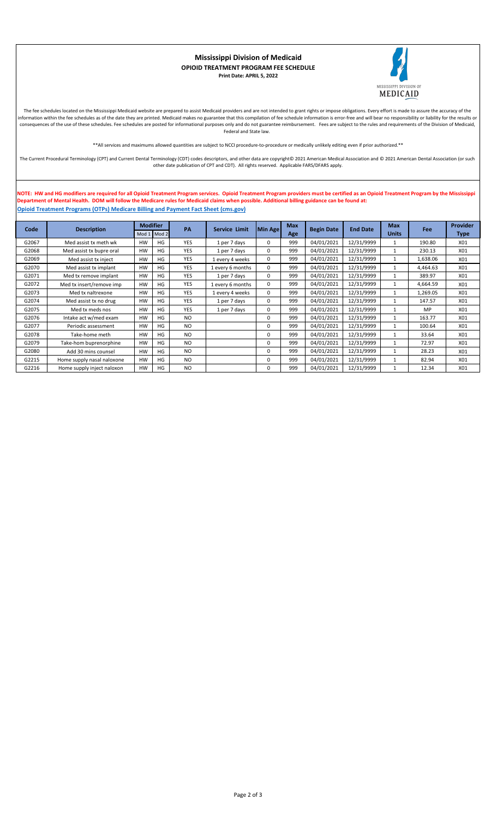

## **Mississippi Division of Medicaid OPIOID TREATMENT PROGRAM FEE SCHEDULE Print Date: APRIL 5, 2022**

The fee schedules located on the Mississippi Medicaid website are prepared to assist Medicaid providers and are not intended to grant rights or impose obligations. Every effort is made to assure the accuracy of the information within the fee schedules as of the date they are printed. Medicaid makes no guarantee that this compilation of fee schedule information is error-free and will bear no responsibility or liability for the results consequences of the use of these schedules. Fee schedules are posted for informational purposes only and do not guarantee reimbursement. Fees are subject to the rules and requirements of the Division of Medicaid, Federal and State law.

\*\*All services and maximums allowed quantities are subject to NCCI procedure-to-procedure or medically unlikely editing even if prior authorized.\*\*

The Current Procedural Terminology (CPT) and Current Dental Terminology (CDT) codes descriptors, and other data are copyright© 2021 American Medical Association and © 2021 American Dental Association (or such other date publication of CPT and CDT). All rights reserved. Applicable FARS/DFARS apply.

**NOTE: HW and HG modifiers are required for all Opioid Treatment Program services. Opioid Treatment Program providers must be certified as an Opioid Treatment Program by the Mississippi Department of Mental Health. DOM will follow the Medicare rules for Medicaid claims when possible. Additional billing guidance can be found at: [Opioid Trea](https://www.cms.gov/files/document/otp-billing-and-payment-fact-sheet.pdf)tment Programs (OTPs) Medicare Billing and Payment Fact Sheet (cms.gov)**

| Code  | <b>Description</b>         | <b>Modifier</b> |    | PA             | Service Limit    | Min Age | <b>Max</b><br><b>Begin Date</b> |            | <b>End Date</b> | <b>Max</b>   | Fee      | <b>Provider</b> |
|-------|----------------------------|-----------------|----|----------------|------------------|---------|---------------------------------|------------|-----------------|--------------|----------|-----------------|
|       |                            | Mod 1<br>Mod 2  |    |                |                  |         | Age                             |            |                 | <b>Units</b> |          | <b>Type</b>     |
| G2067 | Med assist tx meth wk      | <b>HW</b>       | HG | <b>YES</b>     | 1 per 7 days     | 0       | 999                             | 04/01/2021 | 12/31/9999      |              | 190.80   | X01             |
| G2068 | Med assist tx bupre oral   | <b>HW</b>       | HG | <b>YES</b>     | 1 per 7 days     | 0       | 999                             | 04/01/2021 | 12/31/9999      |              | 230.13   | X01             |
| G2069 | Med assist tx inject       | <b>HW</b>       | HG | <b>YES</b>     | 1 every 4 weeks  | 0       | 999                             | 04/01/2021 | 12/31/9999      |              | 1,638.06 | X01             |
| G2070 | Med assist tx implant      | <b>HW</b>       | HG | <b>YES</b>     | 1 every 6 months | 0       | 999                             | 04/01/2021 | 12/31/9999      |              | 4,464.63 | X01             |
| G2071 | Med tx remove implant      | <b>HW</b>       | HG | <b>YES</b>     | 1 per 7 days     | 0       | 999                             | 04/01/2021 | 12/31/9999      |              | 389.97   | X01             |
| G2072 | Med tx insert/remove imp   | <b>HW</b>       | HG | <b>YES</b>     | 1 every 6 months | 0       | 999                             | 04/01/2021 | 12/31/9999      |              | 4,664.59 | X01             |
| G2073 | Med tx naltrexone          | <b>HW</b>       | HG | <b>YES</b>     | 1 every 4 weeks  | 0       | 999                             | 04/01/2021 | 12/31/9999      |              | 1,269.05 | X01             |
| G2074 | Med assist tx no drug      | <b>HW</b>       | HG | <b>YES</b>     | 1 per 7 days     | 0       | 999                             | 04/01/2021 | 12/31/9999      |              | 147.57   | X01             |
| G2075 | Med tx meds nos            | <b>HW</b>       | HG | <b>YES</b>     | 1 per 7 days     | 0       | 999                             | 04/01/2021 | 12/31/9999      |              | MP       | X01             |
| G2076 | Intake act w/med exam      | <b>HW</b>       | HG | <b>NO</b>      |                  | 0       | 999                             | 04/01/2021 | 12/31/9999      |              | 163.77   | X01             |
| G2077 | Periodic assessment        | <b>HW</b>       | HG | <b>NO</b>      |                  | 0       | 999                             | 04/01/2021 | 12/31/9999      |              | 100.64   | X01             |
| G2078 | Take-home meth             | <b>HW</b>       | HG | <b>NO</b>      |                  | 0       | 999                             | 04/01/2021 | 12/31/9999      |              | 33.64    | X01             |
| G2079 | Take-hom buprenorphine     | <b>HW</b>       | HG | <b>NO</b>      |                  | 0       | 999                             | 04/01/2021 | 12/31/9999      |              | 72.97    | X01             |
| G2080 | Add 30 mins counsel        | <b>HW</b>       | HG | N <sub>O</sub> |                  | 0       | 999                             | 04/01/2021 | 12/31/9999      |              | 28.23    | X01             |
| G2215 | Home supply nasal naloxone | <b>HW</b>       | HG | N <sub>O</sub> |                  | 0       | 999                             | 04/01/2021 | 12/31/9999      |              | 82.94    | X01             |
| G2216 | Home supply inject naloxon |                 | HG | NO.            |                  | 0       | 999                             | 04/01/2021 | 12/31/9999      |              | 12.34    | X01             |